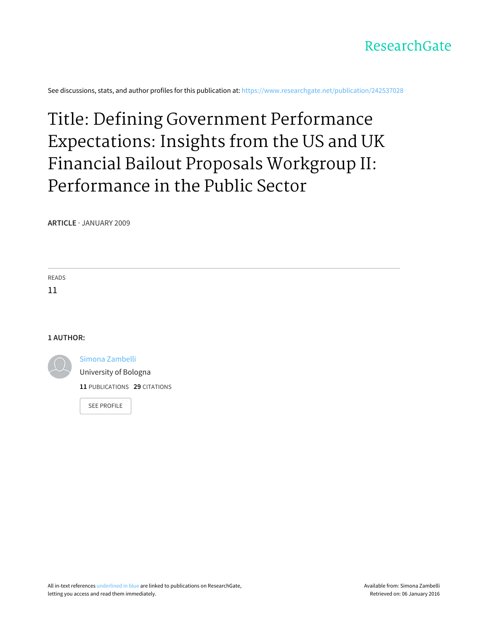

See discussions, stats, and author profiles for this publication at: [https://www.researchgate.net/publication/242537028](https://www.researchgate.net/publication/242537028_Title_Defining_Government_Performance_Expectations_Insights_from_the_US_and_UK_Financial_Bailout_Proposals_Workgroup_II_Performance_in_the_Public_Sector?enrichId=rgreq-7b3cb1cb-e221-4a8d-b574-1ca31b1650f5&enrichSource=Y292ZXJQYWdlOzI0MjUzNzAyODtBUzozMTM2MzIxMzc2NDYwODBAMTQ1MTc4NzEzNjk2Mg%3D%3D&el=1_x_2)

# Title: Defining Government Performance [Expectations:](https://www.researchgate.net/publication/242537028_Title_Defining_Government_Performance_Expectations_Insights_from_the_US_and_UK_Financial_Bailout_Proposals_Workgroup_II_Performance_in_the_Public_Sector?enrichId=rgreq-7b3cb1cb-e221-4a8d-b574-1ca31b1650f5&enrichSource=Y292ZXJQYWdlOzI0MjUzNzAyODtBUzozMTM2MzIxMzc2NDYwODBAMTQ1MTc4NzEzNjk2Mg%3D%3D&el=1_x_3) Insights from the US and UK Financial Bailout Proposals Workgroup II: Performance in the Public Sector

**ARTICLE** · JANUARY 2009

READS

11

# **1 AUTHOR:**



Simona [Zambelli](https://www.researchgate.net/profile/Simona_Zambelli?enrichId=rgreq-7b3cb1cb-e221-4a8d-b574-1ca31b1650f5&enrichSource=Y292ZXJQYWdlOzI0MjUzNzAyODtBUzozMTM2MzIxMzc2NDYwODBAMTQ1MTc4NzEzNjk2Mg%3D%3D&el=1_x_5) [University](https://www.researchgate.net/institution/University_of_Bologna?enrichId=rgreq-7b3cb1cb-e221-4a8d-b574-1ca31b1650f5&enrichSource=Y292ZXJQYWdlOzI0MjUzNzAyODtBUzozMTM2MzIxMzc2NDYwODBAMTQ1MTc4NzEzNjk2Mg%3D%3D&el=1_x_6) of Bologna **11** PUBLICATIONS **29** CITATIONS

SEE [PROFILE](https://www.researchgate.net/profile/Simona_Zambelli?enrichId=rgreq-7b3cb1cb-e221-4a8d-b574-1ca31b1650f5&enrichSource=Y292ZXJQYWdlOzI0MjUzNzAyODtBUzozMTM2MzIxMzc2NDYwODBAMTQ1MTc4NzEzNjk2Mg%3D%3D&el=1_x_7)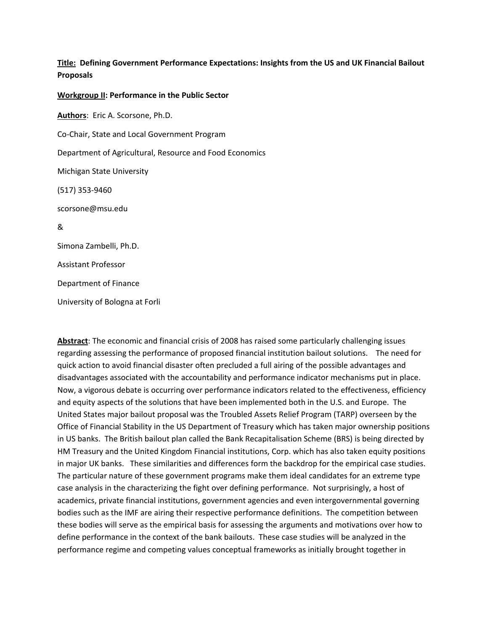**Title: Defining Government Performance Expectations: Insights from the US and UK Financial Bailout Proposals** 

**Workgroup II: Performance in the Public Sector**

**Authors**: Eric A. Scorsone, Ph.D. Co‐Chair, State and Local Government Program Department of Agricultural, Resource and Food Economics Michigan State University (517) 353‐9460 scorsone@msu.edu & Simona Zambelli, Ph.D. Assistant Professor Department of Finance University of Bologna at Forli

**Abstract**: The economic and financial crisis of 2008 has raised some particularly challenging issues regarding assessing the performance of proposed financial institution bailout solutions. The need for quick action to avoid financial disaster often precluded a full airing of the possible advantages and disadvantages associated with the accountability and performance indicator mechanisms put in place. Now, a vigorous debate is occurring over performance indicators related to the effectiveness, efficiency and equity aspects of the solutions that have been implemented both in the U.S. and Europe. The United States major bailout proposal was the Troubled Assets Relief Program (TARP) overseen by the Office of Financial Stability in the US Department of Treasury which has taken major ownership positions in US banks. The British bailout plan called the Bank Recapitalisation Scheme (BRS) is being directed by HM Treasury and the United Kingdom Financial institutions, Corp. which has also taken equity positions in major UK banks. These similarities and differences form the backdrop for the empirical case studies. The particular nature of these government programs make them ideal candidates for an extreme type case analysis in the characterizing the fight over defining performance. Not surprisingly, a host of academics, private financial institutions, government agencies and even intergovernmental governing bodies such as the IMF are airing their respective performance definitions. The competition between these bodies will serve as the empirical basis for assessing the arguments and motivations over how to define performance in the context of the bank bailouts. These case studies will be analyzed in the performance regime and competing values conceptual frameworks as initially brought together in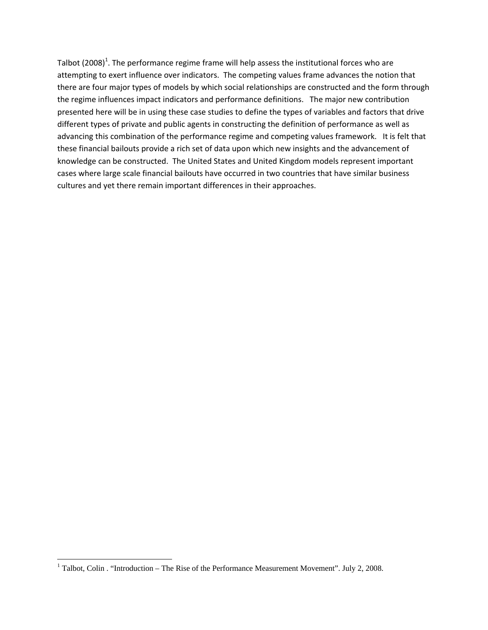Talbot (2008)<sup>1</sup>. The performance regime frame will help assess the institutional forces who are attempting to exert influence over indicators. The competing values frame advances the notion that there are four major types of models by which social relationships are constructed and the form through the regime influences impact indicators and performance definitions. The major new contribution presented here will be in using these case studies to define the types of variables and factors that drive different types of private and public agents in constructing the definition of performance as well as advancing this combination of the performance regime and competing values framework. It is felt that these financial bailouts provide a rich set of data upon which new insights and the advancement of knowledge can be constructed. The United States and United Kingdom models represent important cases where large scale financial bailouts have occurred in two countries that have similar business cultures and yet there remain important differences in their approaches.

<sup>&</sup>lt;sup>1</sup> Talbot, Colin . "Introduction – The Rise of the Performance Measurement Movement". July 2, 2008.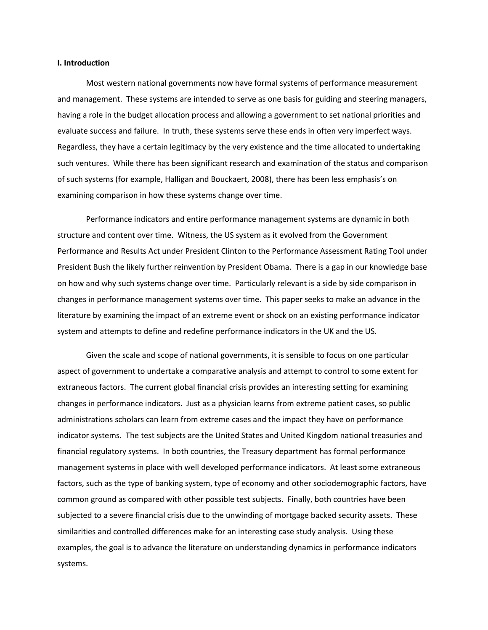## **I. Introduction**

Most western national governments now have formal systems of performance measurement and management. These systems are intended to serve as one basis for guiding and steering managers, having a role in the budget allocation process and allowing a government to set national priorities and evaluate success and failure. In truth, these systems serve these ends in often very imperfect ways. Regardless, they have a certain legitimacy by the very existence and the time allocated to undertaking such ventures. While there has been significant research and examination of the status and comparison of such systems (for example, Halligan and Bouckaert, 2008), there has been less emphasis's on examining comparison in how these systems change over time.

Performance indicators and entire performance management systems are dynamic in both structure and content over time. Witness, the US system as it evolved from the Government Performance and Results Act under President Clinton to the Performance Assessment Rating Tool under President Bush the likely further reinvention by President Obama. There is a gap in our knowledge base on how and why such systems change over time. Particularly relevant is a side by side comparison in changes in performance management systems over time. This paper seeks to make an advance in the literature by examining the impact of an extreme event or shock on an existing performance indicator system and attempts to define and redefine performance indicators in the UK and the US.

Given the scale and scope of national governments, it is sensible to focus on one particular aspect of government to undertake a comparative analysis and attempt to control to some extent for extraneous factors. The current global financial crisis provides an interesting setting for examining changes in performance indicators. Just as a physician learns from extreme patient cases, so public administrations scholars can learn from extreme cases and the impact they have on performance indicator systems. The test subjects are the United States and United Kingdom national treasuries and financial regulatory systems. In both countries, the Treasury department has formal performance management systems in place with well developed performance indicators. At least some extraneous factors, such as the type of banking system, type of economy and other sociodemographic factors, have common ground as compared with other possible test subjects. Finally, both countries have been subjected to a severe financial crisis due to the unwinding of mortgage backed security assets. These similarities and controlled differences make for an interesting case study analysis. Using these examples, the goal is to advance the literature on understanding dynamics in performance indicators systems.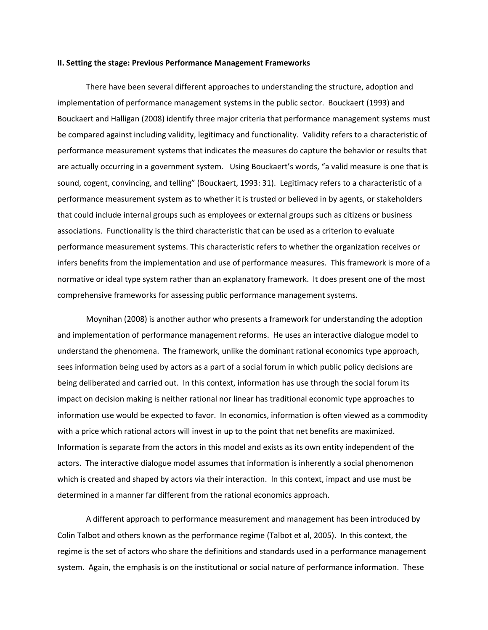#### **II. Setting the stage: Previous Performance Management Frameworks**

There have been several different approaches to understanding the structure, adoption and implementation of performance management systems in the public sector. Bouckaert (1993) and Bouckaert and Halligan (2008) identify three major criteria that performance management systems must be compared against including validity, legitimacy and functionality. Validity refers to a characteristic of performance measurement systems that indicates the measures do capture the behavior or results that are actually occurring in a government system. Using Bouckaert's words, "a valid measure is one that is sound, cogent, convincing, and telling" (Bouckaert, 1993: 31). Legitimacy refers to a characteristic of a performance measurement system as to whether it is trusted or believed in by agents, or stakeholders that could include internal groups such as employees or external groups such as citizens or business associations. Functionality is the third characteristic that can be used as a criterion to evaluate performance measurement systems. This characteristic refers to whether the organization receives or infers benefits from the implementation and use of performance measures. This framework is more of a normative or ideal type system rather than an explanatory framework. It does present one of the most comprehensive frameworks for assessing public performance management systems.

Moynihan (2008) is another author who presents a framework for understanding the adoption and implementation of performance management reforms. He uses an interactive dialogue model to understand the phenomena. The framework, unlike the dominant rational economics type approach, sees information being used by actors as a part of a social forum in which public policy decisions are being deliberated and carried out. In this context, information has use through the social forum its impact on decision making is neither rational nor linear has traditional economic type approaches to information use would be expected to favor. In economics, information is often viewed as a commodity with a price which rational actors will invest in up to the point that net benefits are maximized. Information is separate from the actors in this model and exists as its own entity independent of the actors. The interactive dialogue model assumes that information is inherently a social phenomenon which is created and shaped by actors via their interaction. In this context, impact and use must be determined in a manner far different from the rational economics approach.

A different approach to performance measurement and management has been introduced by Colin Talbot and others known as the performance regime (Talbot et al, 2005). In this context, the regime is the set of actors who share the definitions and standards used in a performance management system. Again, the emphasis is on the institutional or social nature of performance information. These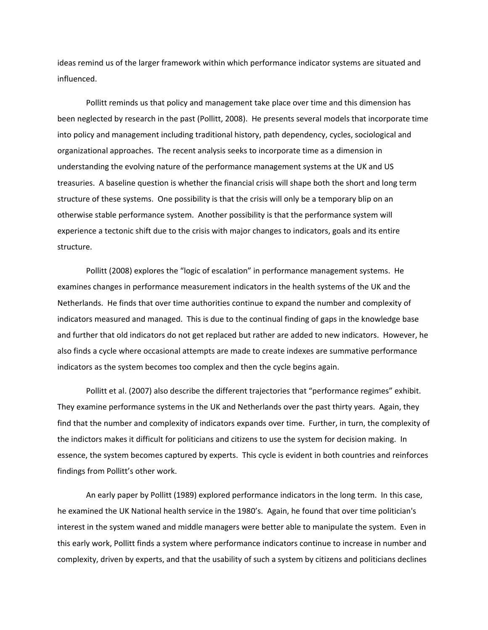ideas remind us of the larger framework within which performance indicator systems are situated and influenced.

Pollitt reminds us that policy and management take place over time and this dimension has been neglected by research in the past (Pollitt, 2008). He presents several models that incorporate time into policy and management including traditional history, path dependency, cycles, sociological and organizational approaches. The recent analysis seeks to incorporate time as a dimension in understanding the evolving nature of the performance management systems at the UK and US treasuries. A baseline question is whether the financial crisis will shape both the short and long term structure of these systems. One possibility is that the crisis will only be a temporary blip on an otherwise stable performance system. Another possibility is that the performance system will experience a tectonic shift due to the crisis with major changes to indicators, goals and its entire structure.

Pollitt (2008) explores the "logic of escalation" in performance management systems. He examines changes in performance measurement indicators in the health systems of the UK and the Netherlands. He finds that over time authorities continue to expand the number and complexity of indicators measured and managed. This is due to the continual finding of gaps in the knowledge base and further that old indicators do not get replaced but rather are added to new indicators. However, he also finds a cycle where occasional attempts are made to create indexes are summative performance indicators as the system becomes too complex and then the cycle begins again.

Pollitt et al. (2007) also describe the different trajectories that "performance regimes" exhibit. They examine performance systems in the UK and Netherlands over the past thirty years. Again, they find that the number and complexity of indicators expands over time. Further, in turn, the complexity of the indictors makes it difficult for politicians and citizens to use the system for decision making. In essence, the system becomes captured by experts. This cycle is evident in both countries and reinforces findings from Pollitt's other work.

An early paper by Pollitt (1989) explored performance indicators in the long term. In this case, he examined the UK National health service in the 1980's. Again, he found that over time politician's interest in the system waned and middle managers were better able to manipulate the system. Even in this early work, Pollitt finds a system where performance indicators continue to increase in number and complexity, driven by experts, and that the usability of such a system by citizens and politicians declines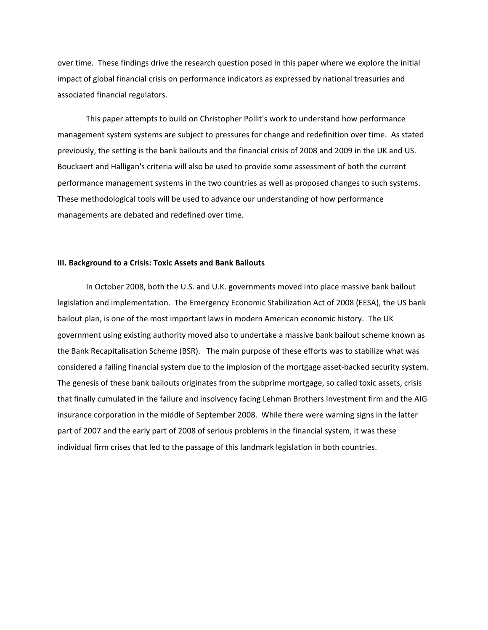over time. These findings drive the research question posed in this paper where we explore the initial impact of global financial crisis on performance indicators as expressed by national treasuries and associated financial regulators.

This paper attempts to build on Christopher Pollit's work to understand how performance management system systems are subject to pressures for change and redefinition over time. As stated previously, the setting is the bank bailouts and the financial crisis of 2008 and 2009 in the UK and US. Bouckaert and Halligan's criteria will also be used to provide some assessment of both the current performance management systems in the two countries as well as proposed changes to such systems. These methodological tools will be used to advance our understanding of how performance managements are debated and redefined over time.

# **III. Background to a Crisis: Toxic Assets and Bank Bailouts**

In October 2008, both the U.S. and U.K. governments moved into place massive bank bailout legislation and implementation. The Emergency Economic Stabilization Act of 2008 (EESA), the US bank bailout plan, is one of the most important laws in modern American economic history. The UK government using existing authority moved also to undertake a massive bank bailout scheme known as the Bank Recapitalisation Scheme (BSR). The main purpose of these efforts was to stabilize what was considered a failing financial system due to the implosion of the mortgage asset‐backed security system. The genesis of these bank bailouts originates from the subprime mortgage, so called toxic assets, crisis that finally cumulated in the failure and insolvency facing Lehman Brothers Investment firm and the AIG insurance corporation in the middle of September 2008. While there were warning signs in the latter part of 2007 and the early part of 2008 of serious problems in the financial system, it was these individual firm crises that led to the passage of this landmark legislation in both countries.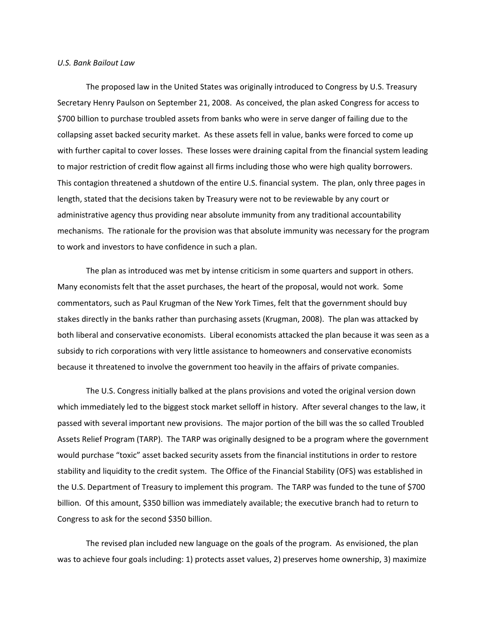#### *U.S. Bank Bailout Law*

The proposed law in the United States was originally introduced to Congress by U.S. Treasury Secretary Henry Paulson on September 21, 2008. As conceived, the plan asked Congress for access to \$700 billion to purchase troubled assets from banks who were in serve danger of failing due to the collapsing asset backed security market. As these assets fell in value, banks were forced to come up with further capital to cover losses. These losses were draining capital from the financial system leading to major restriction of credit flow against all firms including those who were high quality borrowers. This contagion threatened a shutdown of the entire U.S. financial system. The plan, only three pages in length, stated that the decisions taken by Treasury were not to be reviewable by any court or administrative agency thus providing near absolute immunity from any traditional accountability mechanisms. The rationale for the provision was that absolute immunity was necessary for the program to work and investors to have confidence in such a plan.

The plan as introduced was met by intense criticism in some quarters and support in others. Many economists felt that the asset purchases, the heart of the proposal, would not work. Some commentators, such as Paul Krugman of the New York Times, felt that the government should buy stakes directly in the banks rather than purchasing assets (Krugman, 2008). The plan was attacked by both liberal and conservative economists. Liberal economists attacked the plan because it was seen as a subsidy to rich corporations with very little assistance to homeowners and conservative economists because it threatened to involve the government too heavily in the affairs of private companies.

The U.S. Congress initially balked at the plans provisions and voted the original version down which immediately led to the biggest stock market selloff in history. After several changes to the law, it passed with several important new provisions. The major portion of the bill was the so called Troubled Assets Relief Program (TARP). The TARP was originally designed to be a program where the government would purchase "toxic" asset backed security assets from the financial institutions in order to restore stability and liquidity to the credit system. The Office of the Financial Stability (OFS) was established in the U.S. Department of Treasury to implement this program. The TARP was funded to the tune of \$700 billion. Of this amount, \$350 billion was immediately available; the executive branch had to return to Congress to ask for the second \$350 billion.

The revised plan included new language on the goals of the program. As envisioned, the plan was to achieve four goals including: 1) protects asset values, 2) preserves home ownership, 3) maximize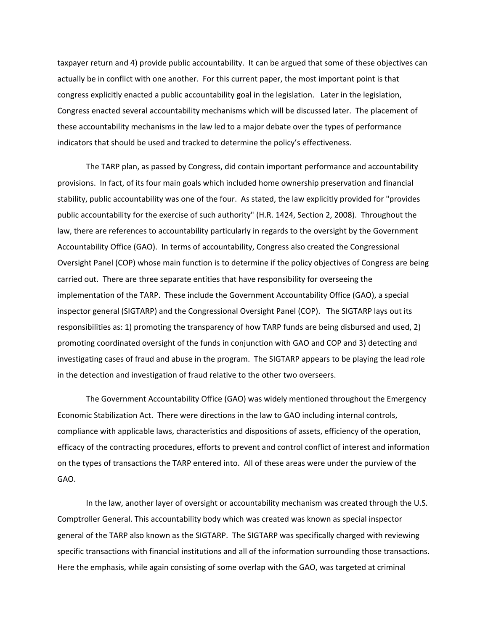taxpayer return and 4) provide public accountability. It can be argued that some of these objectives can actually be in conflict with one another. For this current paper, the most important point is that congress explicitly enacted a public accountability goal in the legislation. Later in the legislation, Congress enacted several accountability mechanisms which will be discussed later. The placement of these accountability mechanisms in the law led to a major debate over the types of performance indicators that should be used and tracked to determine the policy's effectiveness.

The TARP plan, as passed by Congress, did contain important performance and accountability provisions. In fact, of its four main goals which included home ownership preservation and financial stability, public accountability was one of the four. As stated, the law explicitly provided for "provides public accountability for the exercise of such authority" (H.R. 1424, Section 2, 2008). Throughout the law, there are references to accountability particularly in regards to the oversight by the Government Accountability Office (GAO). In terms of accountability, Congress also created the Congressional Oversight Panel (COP) whose main function is to determine if the policy objectives of Congress are being carried out. There are three separate entities that have responsibility for overseeing the implementation of the TARP. These include the Government Accountability Office (GAO), a special inspector general (SIGTARP) and the Congressional Oversight Panel (COP). The SIGTARP lays out its responsibilities as: 1) promoting the transparency of how TARP funds are being disbursed and used, 2) promoting coordinated oversight of the funds in conjunction with GAO and COP and 3) detecting and investigating cases of fraud and abuse in the program. The SIGTARP appears to be playing the lead role in the detection and investigation of fraud relative to the other two overseers.

The Government Accountability Office (GAO) was widely mentioned throughout the Emergency Economic Stabilization Act. There were directions in the law to GAO including internal controls, compliance with applicable laws, characteristics and dispositions of assets, efficiency of the operation, efficacy of the contracting procedures, efforts to prevent and control conflict of interest and information on the types of transactions the TARP entered into. All of these areas were under the purview of the GAO.

In the law, another layer of oversight or accountability mechanism was created through the U.S. Comptroller General. This accountability body which was created was known as special inspector general of the TARP also known as the SIGTARP. The SIGTARP was specifically charged with reviewing specific transactions with financial institutions and all of the information surrounding those transactions. Here the emphasis, while again consisting of some overlap with the GAO, was targeted at criminal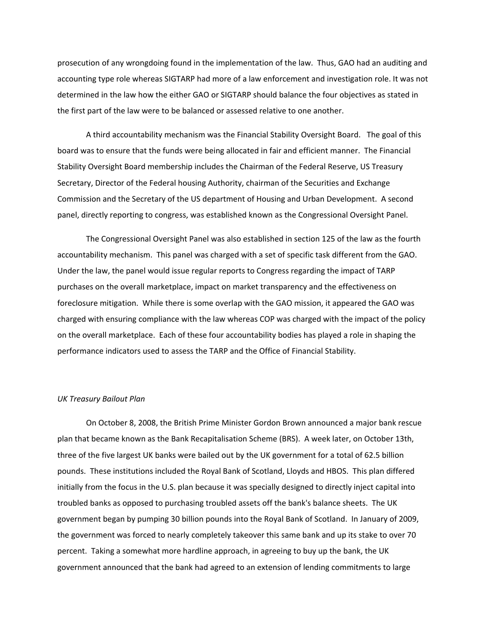prosecution of any wrongdoing found in the implementation of the law. Thus, GAO had an auditing and accounting type role whereas SIGTARP had more of a law enforcement and investigation role. It was not determined in the law how the either GAO or SIGTARP should balance the four objectives as stated in the first part of the law were to be balanced or assessed relative to one another.

A third accountability mechanism was the Financial Stability Oversight Board. The goal of this board was to ensure that the funds were being allocated in fair and efficient manner. The Financial Stability Oversight Board membership includes the Chairman of the Federal Reserve, US Treasury Secretary, Director of the Federal housing Authority, chairman of the Securities and Exchange Commission and the Secretary of the US department of Housing and Urban Development. A second panel, directly reporting to congress, was established known as the Congressional Oversight Panel.

The Congressional Oversight Panel was also established in section 125 of the law as the fourth accountability mechanism. This panel was charged with a set of specific task different from the GAO. Under the law, the panel would issue regular reports to Congress regarding the impact of TARP purchases on the overall marketplace, impact on market transparency and the effectiveness on foreclosure mitigation. While there is some overlap with the GAO mission, it appeared the GAO was charged with ensuring compliance with the law whereas COP was charged with the impact of the policy on the overall marketplace. Each of these four accountability bodies has played a role in shaping the performance indicators used to assess the TARP and the Office of Financial Stability.

# *UK Treasury Bailout Plan*

On October 8, 2008, the British Prime Minister Gordon Brown announced a major bank rescue plan that became known as the Bank Recapitalisation Scheme (BRS). A week later, on October 13th, three of the five largest UK banks were bailed out by the UK government for a total of 62.5 billion pounds. These institutions included the Royal Bank of Scotland, Lloyds and HBOS. This plan differed initially from the focus in the U.S. plan because it was specially designed to directly inject capital into troubled banks as opposed to purchasing troubled assets off the bank's balance sheets. The UK government began by pumping 30 billion pounds into the Royal Bank of Scotland. In January of 2009, the government was forced to nearly completely takeover this same bank and up its stake to over 70 percent. Taking a somewhat more hardline approach, in agreeing to buy up the bank, the UK government announced that the bank had agreed to an extension of lending commitments to large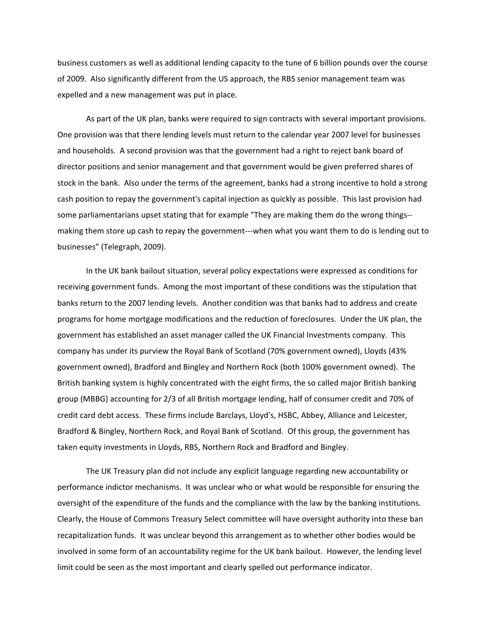business customers as well as additional lending capacity to the tune of 6 billion pounds over the course of 2009. Also significantly different from the US approach, the RBS senior management team was expelled and a new management was put in place.

As part of the UK plan, banks were required to sign contracts with several important provisions. One provision was that there lending levels must return to the calendar year 2007 level for businesses and households. A second provision was that the government had a right to reject bank board of director positions and senior management and that government would be given preferred shares of stock in the bank. Also under the terms of the agreement, banks had a strong incentive to hold a strong cash position to repay the government's capital injection as quickly as possible. This last provision had some parliamentarians upset stating that for example "They are making them do the wrong things-making them store up cash to repay the government‐‐‐when what you want them to do is lending out to businesses" (Telegraph, 2009).

In the UK bank bailout situation, several policy expectations were expressed as conditions for receiving government funds. Among the most important of these conditions was the stipulation that banks return to the 2007 lending levels. Another condition was that banks had to address and create programs for home mortgage modifications and the reduction of foreclosures. Under the UK plan, the government has established an asset manager called the UK Financial Investments company. This company has under its purview the Royal Bank of Scotland (70% government owned), Lloyds (43% government owned), Bradford and Bingley and Northern Rock (both 100% government owned). The British banking system is highly concentrated with the eight firms, the so called major British banking group (MBBG) accounting for 2/3 of all British mortgage lending, half of consumer credit and 70% of credit card debt access. These firms include Barclays, Lloyd's, HSBC, Abbey, Alliance and Leicester, Bradford & Bingley, Northern Rock, and Royal Bank of Scotland. Of this group, the government has taken equity investments in Lloyds, RBS, Northern Rock and Bradford and Bingley.

The UK Treasury plan did not include any explicit language regarding new accountability or performance indictor mechanisms. It was unclear who or what would be responsible for ensuring the oversight of the expenditure of the funds and the compliance with the law by the banking institutions. Clearly, the House of Commons Treasury Select committee will have oversight authority into these ban recapitalization funds. It was unclear beyond this arrangement as to whether other bodies would be involved in some form of an accountability regime for the UK bank bailout. However, the lending level limit could be seen as the most important and clearly spelled out performance indicator.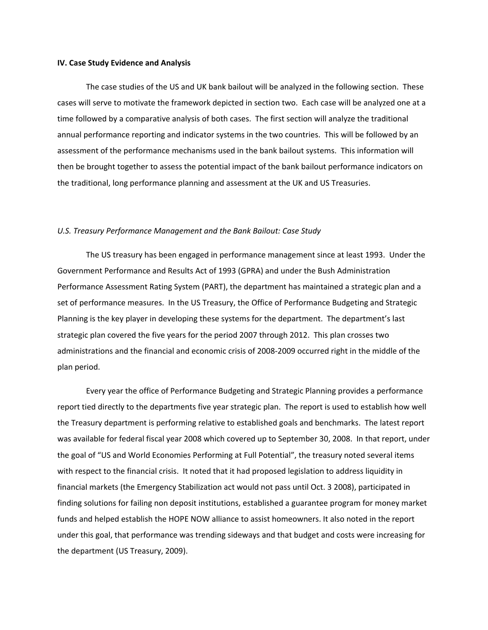#### **IV. Case Study Evidence and Analysis**

The case studies of the US and UK bank bailout will be analyzed in the following section. These cases will serve to motivate the framework depicted in section two. Each case will be analyzed one at a time followed by a comparative analysis of both cases. The first section will analyze the traditional annual performance reporting and indicator systems in the two countries. This will be followed by an assessment of the performance mechanisms used in the bank bailout systems. This information will then be brought together to assess the potential impact of the bank bailout performance indicators on the traditional, long performance planning and assessment at the UK and US Treasuries.

# *U.S. Treasury Performance Management and the Bank Bailout: Case Study*

The US treasury has been engaged in performance management since at least 1993. Under the Government Performance and Results Act of 1993 (GPRA) and under the Bush Administration Performance Assessment Rating System (PART), the department has maintained a strategic plan and a set of performance measures. In the US Treasury, the Office of Performance Budgeting and Strategic Planning is the key player in developing these systems for the department. The department's last strategic plan covered the five years for the period 2007 through 2012. This plan crosses two administrations and the financial and economic crisis of 2008‐2009 occurred right in the middle of the plan period.

Every year the office of Performance Budgeting and Strategic Planning provides a performance report tied directly to the departments five year strategic plan. The report is used to establish how well the Treasury department is performing relative to established goals and benchmarks. The latest report was available for federal fiscal year 2008 which covered up to September 30, 2008. In that report, under the goal of "US and World Economies Performing at Full Potential", the treasury noted several items with respect to the financial crisis. It noted that it had proposed legislation to address liquidity in financial markets (the Emergency Stabilization act would not pass until Oct. 3 2008), participated in finding solutions for failing non deposit institutions, established a guarantee program for money market funds and helped establish the HOPE NOW alliance to assist homeowners. It also noted in the report under this goal, that performance was trending sideways and that budget and costs were increasing for the department (US Treasury, 2009).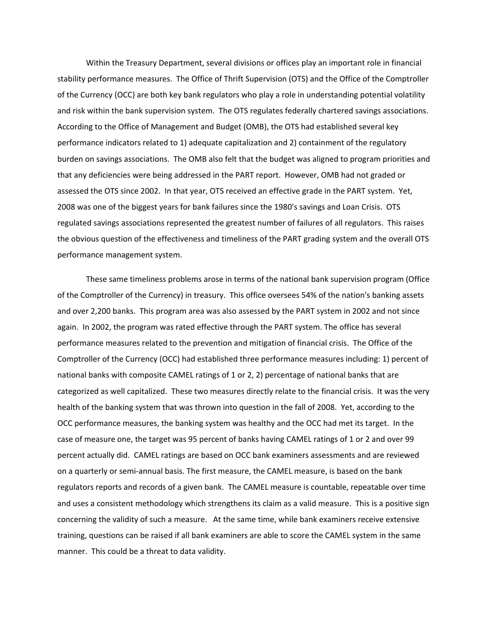Within the Treasury Department, several divisions or offices play an important role in financial stability performance measures. The Office of Thrift Supervision (OTS) and the Office of the Comptroller of the Currency (OCC) are both key bank regulators who play a role in understanding potential volatility and risk within the bank supervision system. The OTS regulates federally chartered savings associations. According to the Office of Management and Budget (OMB), the OTS had established several key performance indicators related to 1) adequate capitalization and 2) containment of the regulatory burden on savings associations. The OMB also felt that the budget was aligned to program priorities and that any deficiencies were being addressed in the PART report. However, OMB had not graded or assessed the OTS since 2002. In that year, OTS received an effective grade in the PART system. Yet, 2008 was one of the biggest years for bank failures since the 1980's savings and Loan Crisis. OTS regulated savings associations represented the greatest number of failures of all regulators. This raises the obvious question of the effectiveness and timeliness of the PART grading system and the overall OTS performance management system.

These same timeliness problems arose in terms of the national bank supervision program (Office of the Comptroller of the Currency) in treasury. This office oversees 54% of the nation's banking assets and over 2,200 banks. This program area was also assessed by the PART system in 2002 and not since again. In 2002, the program was rated effective through the PART system. The office has several performance measures related to the prevention and mitigation of financial crisis. The Office of the Comptroller of the Currency (OCC) had established three performance measures including: 1) percent of national banks with composite CAMEL ratings of 1 or 2, 2) percentage of national banks that are categorized as well capitalized. These two measures directly relate to the financial crisis. It was the very health of the banking system that was thrown into question in the fall of 2008. Yet, according to the OCC performance measures, the banking system was healthy and the OCC had met its target. In the case of measure one, the target was 95 percent of banks having CAMEL ratings of 1 or 2 and over 99 percent actually did. CAMEL ratings are based on OCC bank examiners assessments and are reviewed on a quarterly or semi‐annual basis. The first measure, the CAMEL measure, is based on the bank regulators reports and records of a given bank. The CAMEL measure is countable, repeatable over time and uses a consistent methodology which strengthens its claim as a valid measure. This is a positive sign concerning the validity of such a measure. At the same time, while bank examiners receive extensive training, questions can be raised if all bank examiners are able to score the CAMEL system in the same manner. This could be a threat to data validity.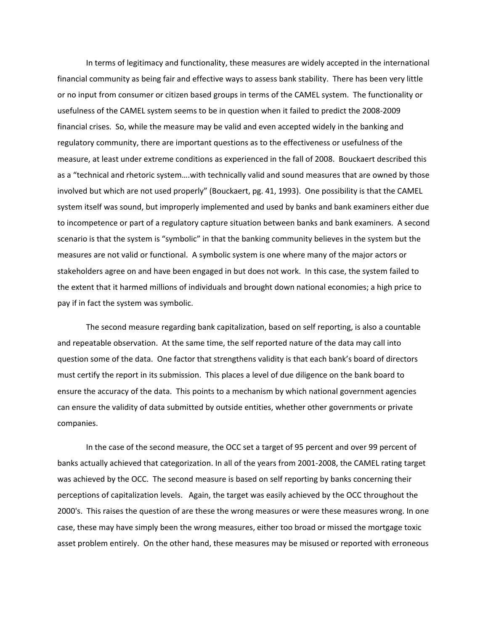In terms of legitimacy and functionality, these measures are widely accepted in the international financial community as being fair and effective ways to assess bank stability. There has been very little or no input from consumer or citizen based groups in terms of the CAMEL system. The functionality or usefulness of the CAMEL system seems to be in question when it failed to predict the 2008‐2009 financial crises. So, while the measure may be valid and even accepted widely in the banking and regulatory community, there are important questions as to the effectiveness or usefulness of the measure, at least under extreme conditions as experienced in the fall of 2008. Bouckaert described this as a "technical and rhetoric system….with technically valid and sound measures that are owned by those involved but which are not used properly" (Bouckaert, pg. 41, 1993). One possibility is that the CAMEL system itself was sound, but improperly implemented and used by banks and bank examiners either due to incompetence or part of a regulatory capture situation between banks and bank examiners. A second scenario is that the system is "symbolic" in that the banking community believes in the system but the measures are not valid or functional. A symbolic system is one where many of the major actors or stakeholders agree on and have been engaged in but does not work. In this case, the system failed to the extent that it harmed millions of individuals and brought down national economies; a high price to pay if in fact the system was symbolic.

The second measure regarding bank capitalization, based on self reporting, is also a countable and repeatable observation. At the same time, the self reported nature of the data may call into question some of the data. One factor that strengthens validity is that each bank's board of directors must certify the report in its submission. This places a level of due diligence on the bank board to ensure the accuracy of the data. This points to a mechanism by which national government agencies can ensure the validity of data submitted by outside entities, whether other governments or private companies.

In the case of the second measure, the OCC set a target of 95 percent and over 99 percent of banks actually achieved that categorization. In all of the years from 2001‐2008, the CAMEL rating target was achieved by the OCC. The second measure is based on self reporting by banks concerning their perceptions of capitalization levels. Again, the target was easily achieved by the OCC throughout the 2000's. This raises the question of are these the wrong measures or were these measures wrong. In one case, these may have simply been the wrong measures, either too broad or missed the mortgage toxic asset problem entirely. On the other hand, these measures may be misused or reported with erroneous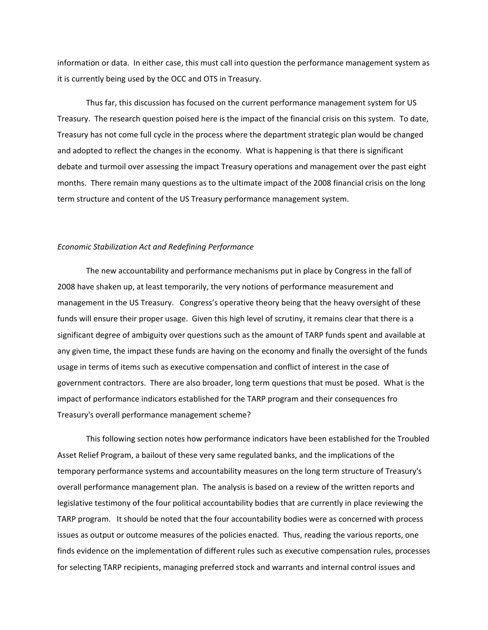information or data. In either case, this must call into question the performance management system as it is currently being used by the OCC and OTS in Treasury.

Thus far, this discussion has focused on the current performance management system for US Treasury. The research question poised here is the impact of the financial crisis on this system. To date, Treasury has not come full cycle in the process where the department strategic plan would be changed and adopted to reflect the changes in the economy. What is happening is that there is significant debate and turmoil over assessing the impact Treasury operations and management over the past eight months. There remain many questions as to the ultimate impact of the 2008 financial crisis on the long term structure and content of the US Treasury performance management system.

## *Economic Stabilization Act and Redefining Performance*

The new accountability and performance mechanisms put in place by Congress in the fall of 2008 have shaken up, at least temporarily, the very notions of performance measurement and management in the US Treasury. Congress's operative theory being that the heavy oversight of these funds will ensure their proper usage. Given this high level of scrutiny, it remains clear that there is a significant degree of ambiguity over questions such as the amount of TARP funds spent and available at any given time, the impact these funds are having on the economy and finally the oversight of the funds usage in terms of items such as executive compensation and conflict of interest in the case of government contractors. There are also broader, long term questions that must be posed. What is the impact of performance indicators established for the TARP program and their consequences fro Treasury's overall performance management scheme?

This following section notes how performance indicators have been established for the Troubled Asset Relief Program, a bailout of these very same regulated banks, and the implications of the temporary performance systems and accountability measures on the long term structure of Treasury's overall performance management plan. The analysis is based on a review of the written reports and legislative testimony of the four political accountability bodies that are currently in place reviewing the TARP program. It should be noted that the four accountability bodies were as concerned with process issues as output or outcome measures of the policies enacted. Thus, reading the various reports, one finds evidence on the implementation of different rules such as executive compensation rules, processes for selecting TARP recipients, managing preferred stock and warrants and internal control issues and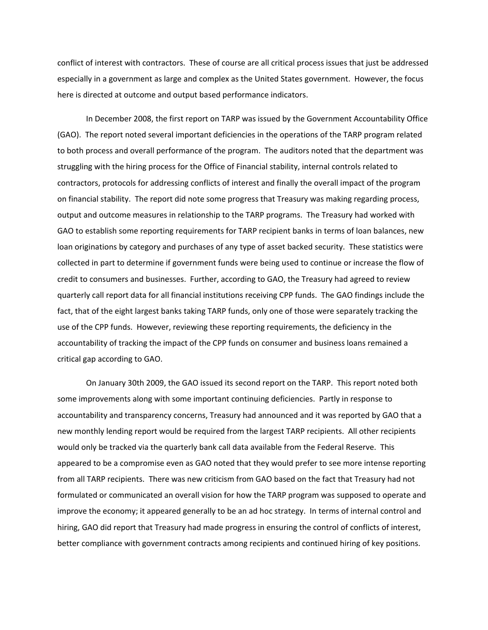conflict of interest with contractors. These of course are all critical process issues that just be addressed especially in a government as large and complex as the United States government. However, the focus here is directed at outcome and output based performance indicators.

In December 2008, the first report on TARP was issued by the Government Accountability Office (GAO). The report noted several important deficiencies in the operations of the TARP program related to both process and overall performance of the program. The auditors noted that the department was struggling with the hiring process for the Office of Financial stability, internal controls related to contractors, protocols for addressing conflicts of interest and finally the overall impact of the program on financial stability. The report did note some progress that Treasury was making regarding process, output and outcome measures in relationship to the TARP programs. The Treasury had worked with GAO to establish some reporting requirements for TARP recipient banks in terms of loan balances, new loan originations by category and purchases of any type of asset backed security. These statistics were collected in part to determine if government funds were being used to continue or increase the flow of credit to consumers and businesses. Further, according to GAO, the Treasury had agreed to review quarterly call report data for all financial institutions receiving CPP funds. The GAO findings include the fact, that of the eight largest banks taking TARP funds, only one of those were separately tracking the use of the CPP funds. However, reviewing these reporting requirements, the deficiency in the accountability of tracking the impact of the CPP funds on consumer and business loans remained a critical gap according to GAO.

On January 30th 2009, the GAO issued its second report on the TARP. This report noted both some improvements along with some important continuing deficiencies. Partly in response to accountability and transparency concerns, Treasury had announced and it was reported by GAO that a new monthly lending report would be required from the largest TARP recipients. All other recipients would only be tracked via the quarterly bank call data available from the Federal Reserve. This appeared to be a compromise even as GAO noted that they would prefer to see more intense reporting from all TARP recipients. There was new criticism from GAO based on the fact that Treasury had not formulated or communicated an overall vision for how the TARP program was supposed to operate and improve the economy; it appeared generally to be an ad hoc strategy. In terms of internal control and hiring, GAO did report that Treasury had made progress in ensuring the control of conflicts of interest, better compliance with government contracts among recipients and continued hiring of key positions.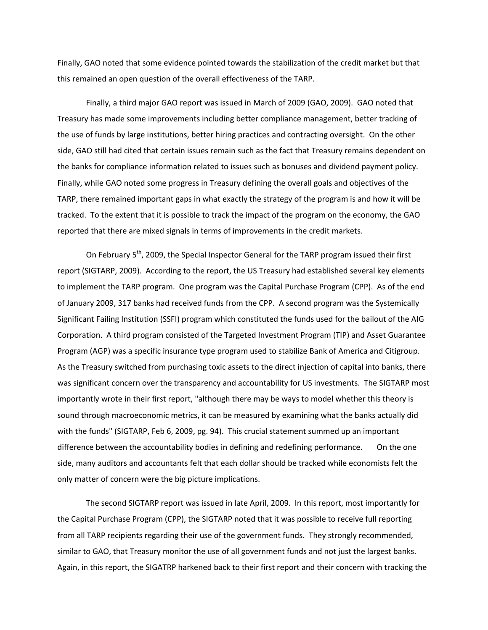Finally, GAO noted that some evidence pointed towards the stabilization of the credit market but that this remained an open question of the overall effectiveness of the TARP.

Finally, a third major GAO report was issued in March of 2009 (GAO, 2009). GAO noted that Treasury has made some improvements including better compliance management, better tracking of the use of funds by large institutions, better hiring practices and contracting oversight. On the other side, GAO still had cited that certain issues remain such as the fact that Treasury remains dependent on the banks for compliance information related to issues such as bonuses and dividend payment policy. Finally, while GAO noted some progress in Treasury defining the overall goals and objectives of the TARP, there remained important gaps in what exactly the strategy of the program is and how it will be tracked. To the extent that it is possible to track the impact of the program on the economy, the GAO reported that there are mixed signals in terms of improvements in the credit markets.

On February 5<sup>th</sup>, 2009, the Special Inspector General for the TARP program issued their first report (SIGTARP, 2009). According to the report, the US Treasury had established several key elements to implement the TARP program. One program was the Capital Purchase Program (CPP). As of the end of January 2009, 317 banks had received funds from the CPP. A second program was the Systemically Significant Failing Institution (SSFI) program which constituted the funds used for the bailout of the AIG Corporation. A third program consisted of the Targeted Investment Program (TIP) and Asset Guarantee Program (AGP) was a specific insurance type program used to stabilize Bank of America and Citigroup. As the Treasury switched from purchasing toxic assets to the direct injection of capital into banks, there was significant concern over the transparency and accountability for US investments. The SIGTARP most importantly wrote in their first report, "although there may be ways to model whether this theory is sound through macroeconomic metrics, it can be measured by examining what the banks actually did with the funds" (SIGTARP, Feb 6, 2009, pg. 94). This crucial statement summed up an important difference between the accountability bodies in defining and redefining performance. On the one side, many auditors and accountants felt that each dollar should be tracked while economists felt the only matter of concern were the big picture implications.

The second SIGTARP report was issued in late April, 2009. In this report, most importantly for the Capital Purchase Program (CPP), the SIGTARP noted that it was possible to receive full reporting from all TARP recipients regarding their use of the government funds. They strongly recommended, similar to GAO, that Treasury monitor the use of all government funds and not just the largest banks. Again, in this report, the SIGATRP harkened back to their first report and their concern with tracking the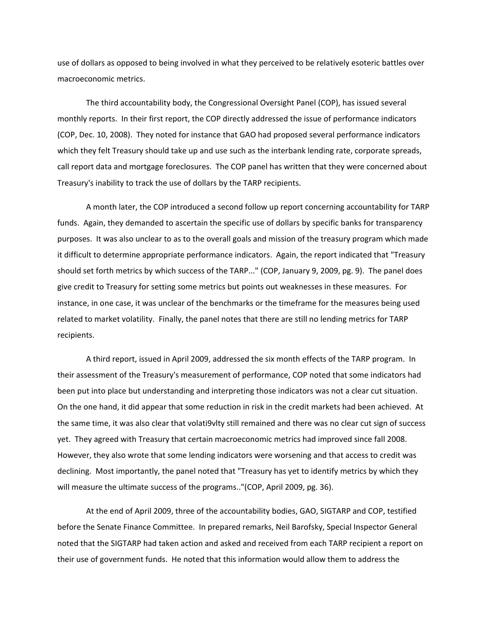use of dollars as opposed to being involved in what they perceived to be relatively esoteric battles over macroeconomic metrics.

The third accountability body, the Congressional Oversight Panel (COP), has issued several monthly reports. In their first report, the COP directly addressed the issue of performance indicators (COP, Dec. 10, 2008). They noted for instance that GAO had proposed several performance indicators which they felt Treasury should take up and use such as the interbank lending rate, corporate spreads, call report data and mortgage foreclosures. The COP panel has written that they were concerned about Treasury's inability to track the use of dollars by the TARP recipients.

A month later, the COP introduced a second follow up report concerning accountability for TARP funds. Again, they demanded to ascertain the specific use of dollars by specific banks for transparency purposes. It was also unclear to as to the overall goals and mission of the treasury program which made it difficult to determine appropriate performance indicators. Again, the report indicated that "Treasury should set forth metrics by which success of the TARP..." (COP, January 9, 2009, pg. 9). The panel does give credit to Treasury for setting some metrics but points out weaknesses in these measures. For instance, in one case, it was unclear of the benchmarks or the timeframe for the measures being used related to market volatility. Finally, the panel notes that there are still no lending metrics for TARP recipients.

A third report, issued in April 2009, addressed the six month effects of the TARP program. In their assessment of the Treasury's measurement of performance, COP noted that some indicators had been put into place but understanding and interpreting those indicators was not a clear cut situation. On the one hand, it did appear that some reduction in risk in the credit markets had been achieved. At the same time, it was also clear that volati9vlty still remained and there was no clear cut sign of success yet. They agreed with Treasury that certain macroeconomic metrics had improved since fall 2008. However, they also wrote that some lending indicators were worsening and that access to credit was declining. Most importantly, the panel noted that "Treasury has yet to identify metrics by which they will measure the ultimate success of the programs.."(COP, April 2009, pg. 36).

At the end of April 2009, three of the accountability bodies, GAO, SIGTARP and COP, testified before the Senate Finance Committee. In prepared remarks, Neil Barofsky, Special Inspector General noted that the SIGTARP had taken action and asked and received from each TARP recipient a report on their use of government funds. He noted that this information would allow them to address the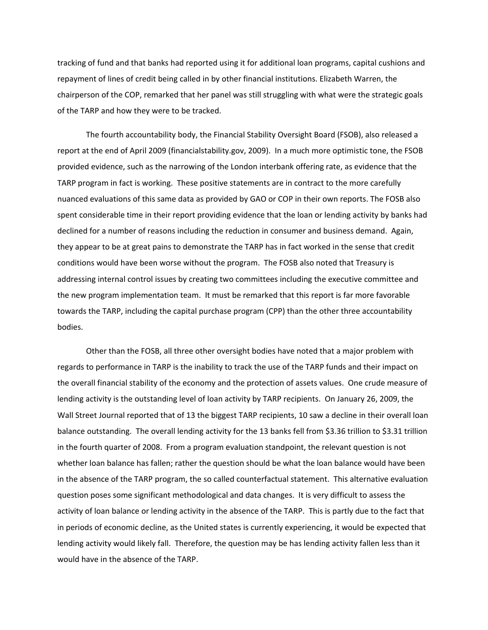tracking of fund and that banks had reported using it for additional loan programs, capital cushions and repayment of lines of credit being called in by other financial institutions. Elizabeth Warren, the chairperson of the COP, remarked that her panel was still struggling with what were the strategic goals of the TARP and how they were to be tracked.

The fourth accountability body, the Financial Stability Oversight Board (FSOB), also released a report at the end of April 2009 (financialstability.gov, 2009). In a much more optimistic tone, the FSOB provided evidence, such as the narrowing of the London interbank offering rate, as evidence that the TARP program in fact is working. These positive statements are in contract to the more carefully nuanced evaluations of this same data as provided by GAO or COP in their own reports. The FOSB also spent considerable time in their report providing evidence that the loan or lending activity by banks had declined for a number of reasons including the reduction in consumer and business demand. Again, they appear to be at great pains to demonstrate the TARP has in fact worked in the sense that credit conditions would have been worse without the program. The FOSB also noted that Treasury is addressing internal control issues by creating two committees including the executive committee and the new program implementation team. It must be remarked that this report is far more favorable towards the TARP, including the capital purchase program (CPP) than the other three accountability bodies.

Other than the FOSB, all three other oversight bodies have noted that a major problem with regards to performance in TARP is the inability to track the use of the TARP funds and their impact on the overall financial stability of the economy and the protection of assets values. One crude measure of lending activity is the outstanding level of loan activity by TARP recipients. On January 26, 2009, the Wall Street Journal reported that of 13 the biggest TARP recipients, 10 saw a decline in their overall loan balance outstanding. The overall lending activity for the 13 banks fell from \$3.36 trillion to \$3.31 trillion in the fourth quarter of 2008. From a program evaluation standpoint, the relevant question is not whether loan balance has fallen; rather the question should be what the loan balance would have been in the absence of the TARP program, the so called counterfactual statement. This alternative evaluation question poses some significant methodological and data changes. It is very difficult to assess the activity of loan balance or lending activity in the absence of the TARP. This is partly due to the fact that in periods of economic decline, as the United states is currently experiencing, it would be expected that lending activity would likely fall. Therefore, the question may be has lending activity fallen less than it would have in the absence of the TARP.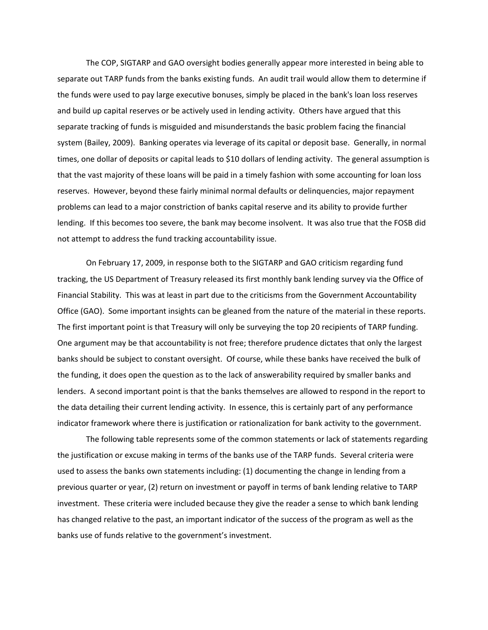The COP, SIGTARP and GAO oversight bodies generally appear more interested in being able to separate out TARP funds from the banks existing funds. An audit trail would allow them to determine if the funds were used to pay large executive bonuses, simply be placed in the bank's loan loss reserves and build up capital reserves or be actively used in lending activity. Others have argued that this separate tracking of funds is misguided and misunderstands the basic problem facing the financial system (Bailey, 2009). Banking operates via leverage of its capital or deposit base. Generally, in normal times, one dollar of deposits or capital leads to \$10 dollars of lending activity. The general assumption is that the vast majority of these loans will be paid in a timely fashion with some accounting for loan loss reserves. However, beyond these fairly minimal normal defaults or delinquencies, major repayment problems can lead to a major constriction of banks capital reserve and its ability to provide further lending. If this becomes too severe, the bank may become insolvent. It was also true that the FOSB did not attempt to address the fund tracking accountability issue.

On February 17, 2009, in response both to the SIGTARP and GAO criticism regarding fund tracking, the US Department of Treasury released its first monthly bank lending survey via the Office of Financial Stability. This was at least in part due to the criticisms from the Government Accountability Office (GAO). Some important insights can be gleaned from the nature of the material in these reports. The first important point is that Treasury will only be surveying the top 20 recipients of TARP funding. One argument may be that accountability is not free; therefore prudence dictates that only the largest banks should be subject to constant oversight. Of course, while these banks have received the bulk of the funding, it does open the question as to the lack of answerability required by smaller banks and lenders. A second important point is that the banks themselves are allowed to respond in the report to the data detailing their current lending activity. In essence, this is certainly part of any performance indicator framework where there is justification or rationalization for bank activity to the government.

The following table represents some of the common statements or lack of statements regarding the justification or excuse making in terms of the banks use of the TARP funds. Several criteria were used to assess the banks own statements including: (1) documenting the change in lending from a previous quarter or year, (2) return on investment or payoff in terms of bank lending relative to TARP investment. These criteria were included because they give the reader a sense to which bank lending has changed relative to the past, an important indicator of the success of the program as well as the banks use of funds relative to the government's investment.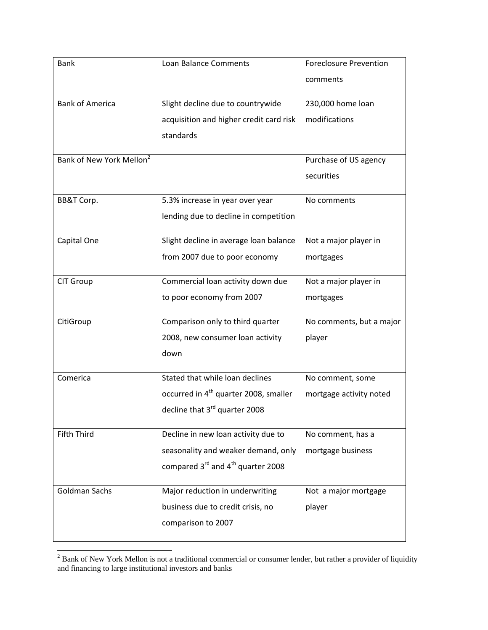| <b>Bank</b>                          | Loan Balance Comments                                     | <b>Foreclosure Prevention</b> |
|--------------------------------------|-----------------------------------------------------------|-------------------------------|
|                                      |                                                           | comments                      |
|                                      |                                                           |                               |
| <b>Bank of America</b>               | Slight decline due to countrywide                         | 230,000 home loan             |
|                                      | acquisition and higher credit card risk                   | modifications                 |
|                                      | standards                                                 |                               |
| Bank of New York Mellon <sup>2</sup> |                                                           | Purchase of US agency         |
|                                      |                                                           | securities                    |
| BB&T Corp.                           | 5.3% increase in year over year                           | No comments                   |
|                                      | lending due to decline in competition                     |                               |
| Capital One                          | Slight decline in average loan balance                    | Not a major player in         |
|                                      | from 2007 due to poor economy                             | mortgages                     |
| <b>CIT Group</b>                     | Commercial loan activity down due                         | Not a major player in         |
|                                      | to poor economy from 2007                                 | mortgages                     |
| CitiGroup                            | Comparison only to third quarter                          | No comments, but a major      |
|                                      | 2008, new consumer loan activity                          | player                        |
|                                      | down                                                      |                               |
| Comerica                             | Stated that while loan declines                           | No comment, some              |
|                                      | occurred in 4 <sup>th</sup> quarter 2008, smaller         | mortgage activity noted       |
|                                      | decline that 3 <sup>rd</sup> quarter 2008                 |                               |
| Fifth Third                          | Decline in new loan activity due to                       | No comment, has a             |
|                                      | seasonality and weaker demand, only                       | mortgage business             |
|                                      | compared 3 <sup>rd</sup> and 4 <sup>th</sup> quarter 2008 |                               |
| <b>Goldman Sachs</b>                 | Major reduction in underwriting                           | Not a major mortgage          |
|                                      | business due to credit crisis, no                         | player                        |
|                                      | comparison to 2007                                        |                               |
|                                      |                                                           |                               |

<sup>&</sup>lt;sup>2</sup> Bank of New York Mellon is not a traditional commercial or consumer lender, but rather a provider of liquidity and financing to large institutional investors and banks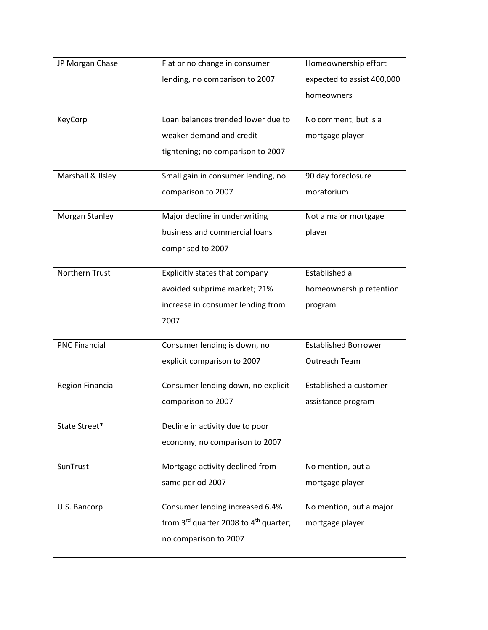| JP Morgan Chase         | Flat or no change in consumer                   | Homeownership effort        |
|-------------------------|-------------------------------------------------|-----------------------------|
|                         | lending, no comparison to 2007                  | expected to assist 400,000  |
|                         |                                                 | homeowners                  |
|                         |                                                 |                             |
| KeyCorp                 | Loan balances trended lower due to              | No comment, but is a        |
|                         | weaker demand and credit                        | mortgage player             |
|                         | tightening; no comparison to 2007               |                             |
| Marshall & Ilsley       | Small gain in consumer lending, no              | 90 day foreclosure          |
|                         | comparison to 2007                              | moratorium                  |
| Morgan Stanley          | Major decline in underwriting                   | Not a major mortgage        |
|                         | business and commercial loans                   | player                      |
|                         | comprised to 2007                               |                             |
| Northern Trust          | Explicitly states that company                  | Established a               |
|                         |                                                 |                             |
|                         | avoided subprime market; 21%                    | homeownership retention     |
|                         | increase in consumer lending from               | program                     |
|                         | 2007                                            |                             |
| <b>PNC Financial</b>    | Consumer lending is down, no                    | <b>Established Borrower</b> |
|                         | explicit comparison to 2007                     | Outreach Team               |
| <b>Region Financial</b> | Consumer lending down, no explicit              | Established a customer      |
|                         | comparison to 2007                              | assistance program          |
| State Street*           | Decline in activity due to poor                 |                             |
|                         | economy, no comparison to 2007                  |                             |
| SunTrust                | Mortgage activity declined from                 | No mention, but a           |
|                         | same period 2007                                | mortgage player             |
| U.S. Bancorp            | Consumer lending increased 6.4%                 | No mention, but a major     |
|                         | from $3^{rd}$ quarter 2008 to $4^{th}$ quarter; | mortgage player             |
|                         | no comparison to 2007                           |                             |
|                         |                                                 |                             |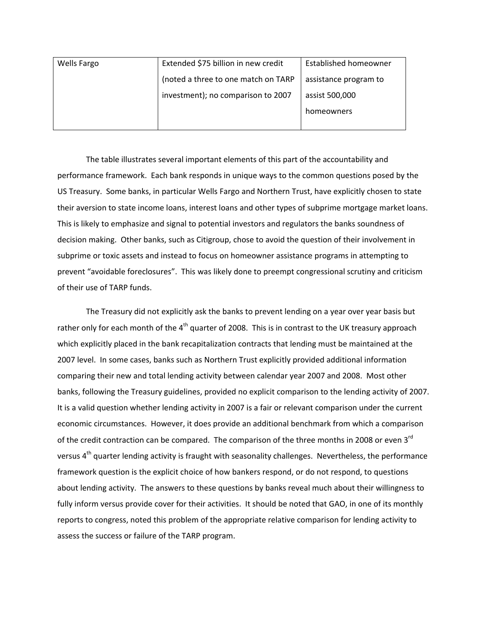| Wells Fargo | Extended \$75 billion in new credit | <b>Established homeowner</b> |
|-------------|-------------------------------------|------------------------------|
|             | (noted a three to one match on TARP | assistance program to        |
|             | investment); no comparison to 2007  | assist 500,000               |
|             |                                     | homeowners                   |
|             |                                     |                              |

The table illustrates several important elements of this part of the accountability and performance framework. Each bank responds in unique ways to the common questions posed by the US Treasury. Some banks, in particular Wells Fargo and Northern Trust, have explicitly chosen to state their aversion to state income loans, interest loans and other types of subprime mortgage market loans. This is likely to emphasize and signal to potential investors and regulators the banks soundness of decision making. Other banks, such as Citigroup, chose to avoid the question of their involvement in subprime or toxic assets and instead to focus on homeowner assistance programs in attempting to prevent "avoidable foreclosures". This was likely done to preempt congressional scrutiny and criticism of their use of TARP funds.

The Treasury did not explicitly ask the banks to prevent lending on a year over year basis but rather only for each month of the 4<sup>th</sup> quarter of 2008. This is in contrast to the UK treasury approach which explicitly placed in the bank recapitalization contracts that lending must be maintained at the 2007 level. In some cases, banks such as Northern Trust explicitly provided additional information comparing their new and total lending activity between calendar year 2007 and 2008. Most other banks, following the Treasury guidelines, provided no explicit comparison to the lending activity of 2007. It is a valid question whether lending activity in 2007 is a fair or relevant comparison under the current economic circumstances. However, it does provide an additional benchmark from which a comparison of the credit contraction can be compared. The comparison of the three months in 2008 or even 3<sup>rd</sup> versus  $4<sup>th</sup>$  quarter lending activity is fraught with seasonality challenges. Nevertheless, the performance framework question is the explicit choice of how bankers respond, or do not respond, to questions about lending activity. The answers to these questions by banks reveal much about their willingness to fully inform versus provide cover for their activities. It should be noted that GAO, in one of its monthly reports to congress, noted this problem of the appropriate relative comparison for lending activity to assess the success or failure of the TARP program.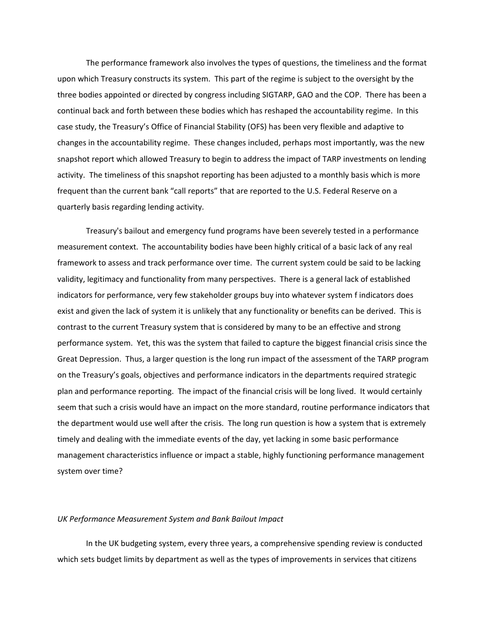The performance framework also involves the types of questions, the timeliness and the format upon which Treasury constructs its system. This part of the regime is subject to the oversight by the three bodies appointed or directed by congress including SIGTARP, GAO and the COP. There has been a continual back and forth between these bodies which has reshaped the accountability regime. In this case study, the Treasury's Office of Financial Stability (OFS) has been very flexible and adaptive to changes in the accountability regime. These changes included, perhaps most importantly, was the new snapshot report which allowed Treasury to begin to address the impact of TARP investments on lending activity. The timeliness of this snapshot reporting has been adjusted to a monthly basis which is more frequent than the current bank "call reports" that are reported to the U.S. Federal Reserve on a quarterly basis regarding lending activity.

Treasury's bailout and emergency fund programs have been severely tested in a performance measurement context. The accountability bodies have been highly critical of a basic lack of any real framework to assess and track performance over time. The current system could be said to be lacking validity, legitimacy and functionality from many perspectives. There is a general lack of established indicators for performance, very few stakeholder groups buy into whatever system f indicators does exist and given the lack of system it is unlikely that any functionality or benefits can be derived. This is contrast to the current Treasury system that is considered by many to be an effective and strong performance system. Yet, this was the system that failed to capture the biggest financial crisis since the Great Depression. Thus, a larger question is the long run impact of the assessment of the TARP program on the Treasury's goals, objectives and performance indicators in the departments required strategic plan and performance reporting. The impact of the financial crisis will be long lived. It would certainly seem that such a crisis would have an impact on the more standard, routine performance indicators that the department would use well after the crisis. The long run question is how a system that is extremely timely and dealing with the immediate events of the day, yet lacking in some basic performance management characteristics influence or impact a stable, highly functioning performance management system over time?

#### *UK Performance Measurement System and Bank Bailout Impact*

In the UK budgeting system, every three years, a comprehensive spending review is conducted which sets budget limits by department as well as the types of improvements in services that citizens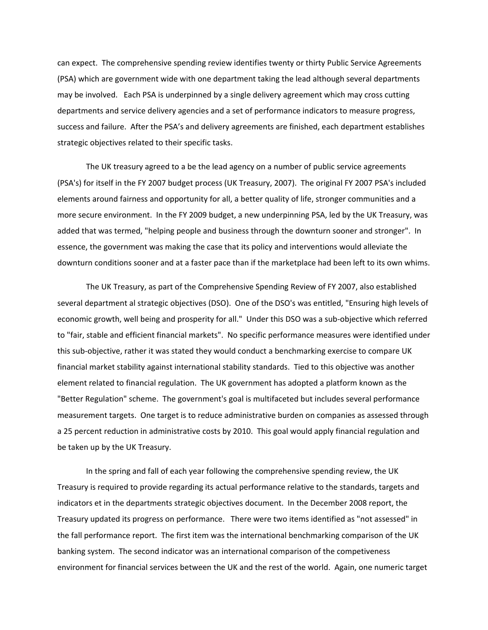can expect. The comprehensive spending review identifies twenty or thirty Public Service Agreements (PSA) which are government wide with one department taking the lead although several departments may be involved. Each PSA is underpinned by a single delivery agreement which may cross cutting departments and service delivery agencies and a set of performance indicators to measure progress, success and failure. After the PSA's and delivery agreements are finished, each department establishes strategic objectives related to their specific tasks.

The UK treasury agreed to a be the lead agency on a number of public service agreements (PSA's) for itself in the FY 2007 budget process (UK Treasury, 2007). The original FY 2007 PSA's included elements around fairness and opportunity for all, a better quality of life, stronger communities and a more secure environment. In the FY 2009 budget, a new underpinning PSA, led by the UK Treasury, was added that was termed, "helping people and business through the downturn sooner and stronger". In essence, the government was making the case that its policy and interventions would alleviate the downturn conditions sooner and at a faster pace than if the marketplace had been left to its own whims.

The UK Treasury, as part of the Comprehensive Spending Review of FY 2007, also established several department al strategic objectives (DSO). One of the DSO's was entitled, "Ensuring high levels of economic growth, well being and prosperity for all." Under this DSO was a sub‐objective which referred to "fair, stable and efficient financial markets". No specific performance measures were identified under this sub‐objective, rather it was stated they would conduct a benchmarking exercise to compare UK financial market stability against international stability standards. Tied to this objective was another element related to financial regulation. The UK government has adopted a platform known as the "Better Regulation" scheme. The government's goal is multifaceted but includes several performance measurement targets. One target is to reduce administrative burden on companies as assessed through a 25 percent reduction in administrative costs by 2010. This goal would apply financial regulation and be taken up by the UK Treasury.

In the spring and fall of each year following the comprehensive spending review, the UK Treasury is required to provide regarding its actual performance relative to the standards, targets and indicators et in the departments strategic objectives document. In the December 2008 report, the Treasury updated its progress on performance. There were two items identified as "not assessed" in the fall performance report. The first item was the international benchmarking comparison of the UK banking system. The second indicator was an international comparison of the competiveness environment for financial services between the UK and the rest of the world. Again, one numeric target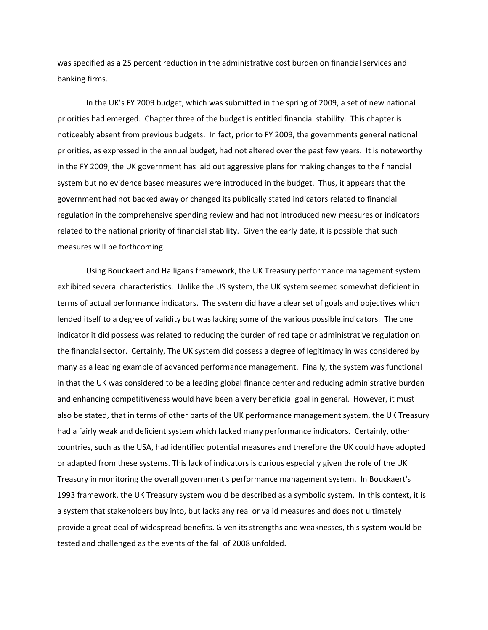was specified as a 25 percent reduction in the administrative cost burden on financial services and banking firms.

In the UK's FY 2009 budget, which was submitted in the spring of 2009, a set of new national priorities had emerged. Chapter three of the budget is entitled financial stability. This chapter is noticeably absent from previous budgets. In fact, prior to FY 2009, the governments general national priorities, as expressed in the annual budget, had not altered over the past few years. It is noteworthy in the FY 2009, the UK government has laid out aggressive plans for making changes to the financial system but no evidence based measures were introduced in the budget. Thus, it appears that the government had not backed away or changed its publically stated indicators related to financial regulation in the comprehensive spending review and had not introduced new measures or indicators related to the national priority of financial stability. Given the early date, it is possible that such measures will be forthcoming.

Using Bouckaert and Halligans framework, the UK Treasury performance management system exhibited several characteristics. Unlike the US system, the UK system seemed somewhat deficient in terms of actual performance indicators. The system did have a clear set of goals and objectives which lended itself to a degree of validity but was lacking some of the various possible indicators. The one indicator it did possess was related to reducing the burden of red tape or administrative regulation on the financial sector. Certainly, The UK system did possess a degree of legitimacy in was considered by many as a leading example of advanced performance management. Finally, the system was functional in that the UK was considered to be a leading global finance center and reducing administrative burden and enhancing competitiveness would have been a very beneficial goal in general. However, it must also be stated, that in terms of other parts of the UK performance management system, the UK Treasury had a fairly weak and deficient system which lacked many performance indicators. Certainly, other countries, such as the USA, had identified potential measures and therefore the UK could have adopted or adapted from these systems. This lack of indicators is curious especially given the role of the UK Treasury in monitoring the overall government's performance management system. In Bouckaert's 1993 framework, the UK Treasury system would be described as a symbolic system. In this context, it is a system that stakeholders buy into, but lacks any real or valid measures and does not ultimately provide a great deal of widespread benefits. Given its strengths and weaknesses, this system would be tested and challenged as the events of the fall of 2008 unfolded.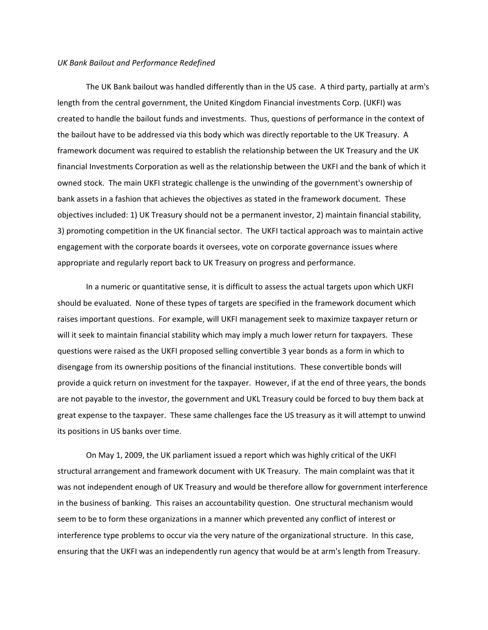## *UK Bank Bailout and Performance Redefined*

The UK Bank bailout was handled differently than in the US case. A third party, partially at arm's length from the central government, the United Kingdom Financial investments Corp. (UKFI) was created to handle the bailout funds and investments. Thus, questions of performance in the context of the bailout have to be addressed via this body which was directly reportable to the UK Treasury. A framework document was required to establish the relationship between the UK Treasury and the UK financial Investments Corporation as well as the relationship between the UKFI and the bank of which it owned stock. The main UKFI strategic challenge is the unwinding of the government's ownership of bank assets in a fashion that achieves the objectives as stated in the framework document. These objectives included: 1) UK Treasury should not be a permanent investor, 2) maintain financial stability, 3) promoting competition in the UK financial sector. The UKFI tactical approach was to maintain active engagement with the corporate boards it oversees, vote on corporate governance issues where appropriate and regularly report back to UK Treasury on progress and performance.

In a numeric or quantitative sense, it is difficult to assess the actual targets upon which UKFI should be evaluated. None of these types of targets are specified in the framework document which raises important questions. For example, will UKFI management seek to maximize taxpayer return or will it seek to maintain financial stability which may imply a much lower return for taxpayers. These questions were raised as the UKFI proposed selling convertible 3 year bonds as a form in which to disengage from its ownership positions of the financial institutions. These convertible bonds will provide a quick return on investment for the taxpayer. However, if at the end of three years, the bonds are not payable to the investor, the government and UKL Treasury could be forced to buy them back at great expense to the taxpayer. These same challenges face the US treasury as it will attempt to unwind its positions in US banks over time.

On May 1, 2009, the UK parliament issued a report which was highly critical of the UKFI structural arrangement and framework document with UK Treasury. The main complaint was that it was not independent enough of UK Treasury and would be therefore allow for government interference in the business of banking. This raises an accountability question. One structural mechanism would seem to be to form these organizations in a manner which prevented any conflict of interest or interference type problems to occur via the very nature of the organizational structure. In this case, ensuring that the UKFI was an independently run agency that would be at arm's length from Treasury.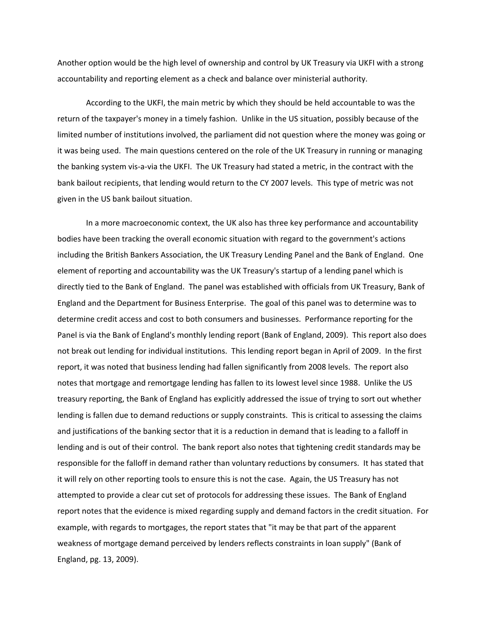Another option would be the high level of ownership and control by UK Treasury via UKFI with a strong accountability and reporting element as a check and balance over ministerial authority.

According to the UKFI, the main metric by which they should be held accountable to was the return of the taxpayer's money in a timely fashion. Unlike in the US situation, possibly because of the limited number of institutions involved, the parliament did not question where the money was going or it was being used. The main questions centered on the role of the UK Treasury in running or managing the banking system vis‐a‐via the UKFI. The UK Treasury had stated a metric, in the contract with the bank bailout recipients, that lending would return to the CY 2007 levels. This type of metric was not given in the US bank bailout situation.

In a more macroeconomic context, the UK also has three key performance and accountability bodies have been tracking the overall economic situation with regard to the government's actions including the British Bankers Association, the UK Treasury Lending Panel and the Bank of England. One element of reporting and accountability was the UK Treasury's startup of a lending panel which is directly tied to the Bank of England. The panel was established with officials from UK Treasury, Bank of England and the Department for Business Enterprise. The goal of this panel was to determine was to determine credit access and cost to both consumers and businesses. Performance reporting for the Panel is via the Bank of England's monthly lending report (Bank of England, 2009). This report also does not break out lending for individual institutions. This lending report began in April of 2009. In the first report, it was noted that business lending had fallen significantly from 2008 levels. The report also notes that mortgage and remortgage lending has fallen to its lowest level since 1988. Unlike the US treasury reporting, the Bank of England has explicitly addressed the issue of trying to sort out whether lending is fallen due to demand reductions or supply constraints. This is critical to assessing the claims and justifications of the banking sector that it is a reduction in demand that is leading to a falloff in lending and is out of their control. The bank report also notes that tightening credit standards may be responsible for the falloff in demand rather than voluntary reductions by consumers. It has stated that it will rely on other reporting tools to ensure this is not the case. Again, the US Treasury has not attempted to provide a clear cut set of protocols for addressing these issues. The Bank of England report notes that the evidence is mixed regarding supply and demand factors in the credit situation. For example, with regards to mortgages, the report states that "it may be that part of the apparent weakness of mortgage demand perceived by lenders reflects constraints in loan supply" (Bank of England, pg. 13, 2009).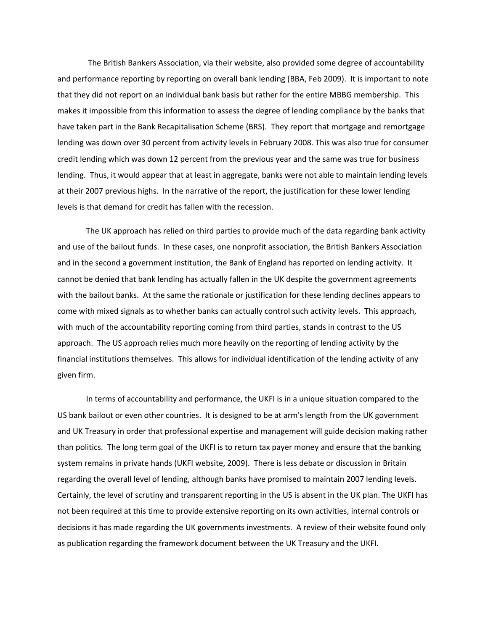The British Bankers Association, via their website, also provided some degree of accountability and performance reporting by reporting on overall bank lending (BBA, Feb 2009). It is important to note that they did not report on an individual bank basis but rather for the entire MBBG membership. This makes it impossible from this information to assess the degree of lending compliance by the banks that have taken part in the Bank Recapitalisation Scheme (BRS). They report that mortgage and remortgage lending was down over 30 percent from activity levels in February 2008. This was also true for consumer credit lending which was down 12 percent from the previous year and the same was true for business lending. Thus, it would appear that at least in aggregate, banks were not able to maintain lending levels at their 2007 previous highs. In the narrative of the report, the justification for these lower lending levels is that demand for credit has fallen with the recession.

The UK approach has relied on third parties to provide much of the data regarding bank activity and use of the bailout funds. In these cases, one nonprofit association, the British Bankers Association and in the second a government institution, the Bank of England has reported on lending activity. It cannot be denied that bank lending has actually fallen in the UK despite the government agreements with the bailout banks. At the same the rationale or justification for these lending declines appears to come with mixed signals as to whether banks can actually control such activity levels. This approach, with much of the accountability reporting coming from third parties, stands in contrast to the US approach. The US approach relies much more heavily on the reporting of lending activity by the financial institutions themselves. This allows for individual identification of the lending activity of any given firm.

In terms of accountability and performance, the UKFI is in a unique situation compared to the US bank bailout or even other countries. It is designed to be at arm's length from the UK government and UK Treasury in order that professional expertise and management will guide decision making rather than politics. The long term goal of the UKFI is to return tax payer money and ensure that the banking system remains in private hands (UKFI website, 2009). There is less debate or discussion in Britain regarding the overall level of lending, although banks have promised to maintain 2007 lending levels. Certainly, the level of scrutiny and transparent reporting in the US is absent in the UK plan. The UKFI has not been required at this time to provide extensive reporting on its own activities, internal controls or decisions it has made regarding the UK governments investments. A review of their website found only as publication regarding the framework document between the UK Treasury and the UKFI.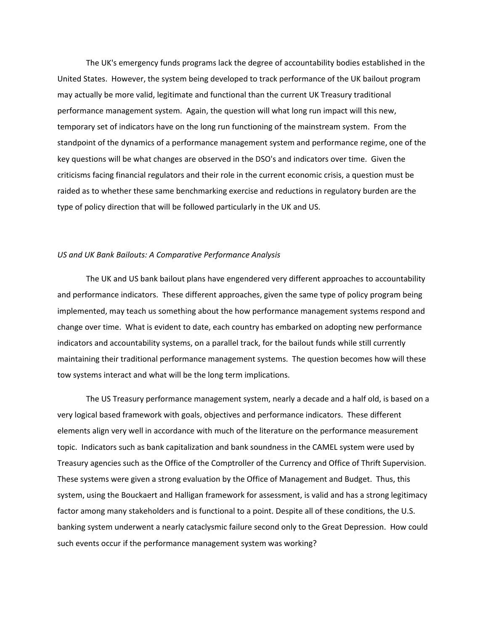The UK's emergency funds programs lack the degree of accountability bodies established in the United States. However, the system being developed to track performance of the UK bailout program may actually be more valid, legitimate and functional than the current UK Treasury traditional performance management system. Again, the question will what long run impact will this new, temporary set of indicators have on the long run functioning of the mainstream system. From the standpoint of the dynamics of a performance management system and performance regime, one of the key questions will be what changes are observed in the DSO's and indicators over time. Given the criticisms facing financial regulators and their role in the current economic crisis, a question must be raided as to whether these same benchmarking exercise and reductions in regulatory burden are the type of policy direction that will be followed particularly in the UK and US.

## *US and UK Bank Bailouts: A Comparative Performance Analysis*

The UK and US bank bailout plans have engendered very different approaches to accountability and performance indicators. These different approaches, given the same type of policy program being implemented, may teach us something about the how performance management systems respond and change over time. What is evident to date, each country has embarked on adopting new performance indicators and accountability systems, on a parallel track, for the bailout funds while still currently maintaining their traditional performance management systems. The question becomes how will these tow systems interact and what will be the long term implications.

The US Treasury performance management system, nearly a decade and a half old, is based on a very logical based framework with goals, objectives and performance indicators. These different elements align very well in accordance with much of the literature on the performance measurement topic. Indicators such as bank capitalization and bank soundness in the CAMEL system were used by Treasury agencies such as the Office of the Comptroller of the Currency and Office of Thrift Supervision. These systems were given a strong evaluation by the Office of Management and Budget. Thus, this system, using the Bouckaert and Halligan framework for assessment, is valid and has a strong legitimacy factor among many stakeholders and is functional to a point. Despite all of these conditions, the U.S. banking system underwent a nearly cataclysmic failure second only to the Great Depression. How could such events occur if the performance management system was working?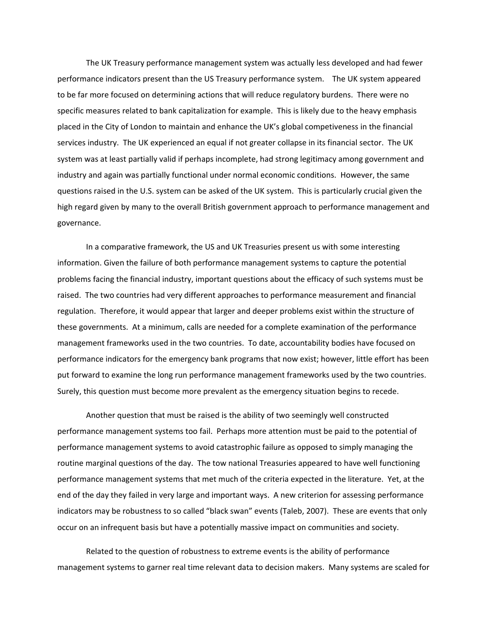The UK Treasury performance management system was actually less developed and had fewer performance indicators present than the US Treasury performance system. The UK system appeared to be far more focused on determining actions that will reduce regulatory burdens. There were no specific measures related to bank capitalization for example. This is likely due to the heavy emphasis placed in the City of London to maintain and enhance the UK's global competiveness in the financial services industry. The UK experienced an equal if not greater collapse in its financial sector. The UK system was at least partially valid if perhaps incomplete, had strong legitimacy among government and industry and again was partially functional under normal economic conditions. However, the same questions raised in the U.S. system can be asked of the UK system. This is particularly crucial given the high regard given by many to the overall British government approach to performance management and governance.

In a comparative framework, the US and UK Treasuries present us with some interesting information. Given the failure of both performance management systems to capture the potential problems facing the financial industry, important questions about the efficacy of such systems must be raised. The two countries had very different approaches to performance measurement and financial regulation. Therefore, it would appear that larger and deeper problems exist within the structure of these governments. At a minimum, calls are needed for a complete examination of the performance management frameworks used in the two countries. To date, accountability bodies have focused on performance indicators for the emergency bank programs that now exist; however, little effort has been put forward to examine the long run performance management frameworks used by the two countries. Surely, this question must become more prevalent as the emergency situation begins to recede.

Another question that must be raised is the ability of two seemingly well constructed performance management systems too fail. Perhaps more attention must be paid to the potential of performance management systems to avoid catastrophic failure as opposed to simply managing the routine marginal questions of the day. The tow national Treasuries appeared to have well functioning performance management systems that met much of the criteria expected in the literature. Yet, at the end of the day they failed in very large and important ways. A new criterion for assessing performance indicators may be robustness to so called "black swan" events (Taleb, 2007). These are events that only occur on an infrequent basis but have a potentially massive impact on communities and society.

Related to the question of robustness to extreme events is the ability of performance management systems to garner real time relevant data to decision makers. Many systems are scaled for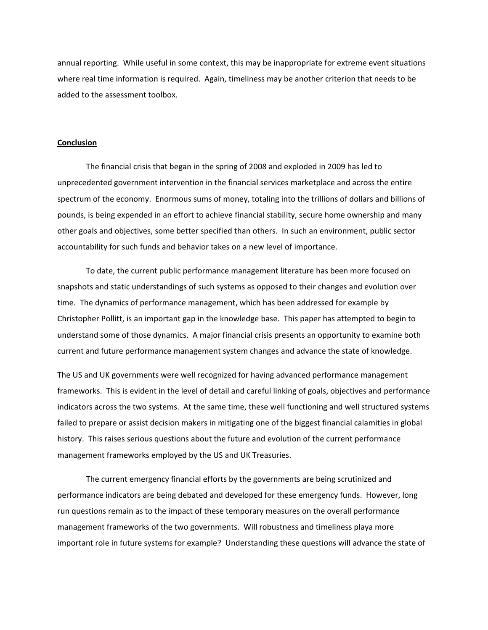annual reporting. While useful in some context, this may be inappropriate for extreme event situations where real time information is required. Again, timeliness may be another criterion that needs to be added to the assessment toolbox.

#### **Conclusion**

The financial crisis that began in the spring of 2008 and exploded in 2009 has led to unprecedented government intervention in the financial services marketplace and across the entire spectrum of the economy. Enormous sums of money, totaling into the trillions of dollars and billions of pounds, is being expended in an effort to achieve financial stability, secure home ownership and many other goals and objectives, some better specified than others. In such an environment, public sector accountability for such funds and behavior takes on a new level of importance.

To date, the current public performance management literature has been more focused on snapshots and static understandings of such systems as opposed to their changes and evolution over time. The dynamics of performance management, which has been addressed for example by Christopher Pollitt, is an important gap in the knowledge base. This paper has attempted to begin to understand some of those dynamics. A major financial crisis presents an opportunity to examine both current and future performance management system changes and advance the state of knowledge.

The US and UK governments were well recognized for having advanced performance management frameworks. This is evident in the level of detail and careful linking of goals, objectives and performance indicators across the two systems. At the same time, these well functioning and well structured systems failed to prepare or assist decision makers in mitigating one of the biggest financial calamities in global history. This raises serious questions about the future and evolution of the current performance management frameworks employed by the US and UK Treasuries.

The current emergency financial efforts by the governments are being scrutinized and performance indicators are being debated and developed for these emergency funds. However, long run questions remain as to the impact of these temporary measures on the overall performance management frameworks of the two governments. Will robustness and timeliness playa more important role in future systems for example? Understanding these questions will advance the state of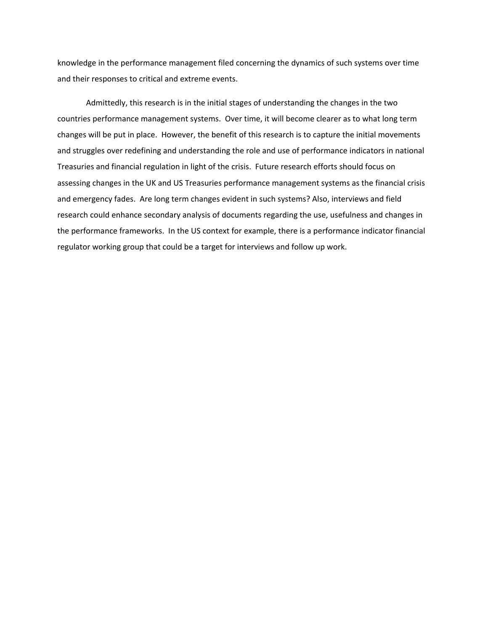knowledge in the performance management filed concerning the dynamics of such systems over time and their responses to critical and extreme events.

Admittedly, this research is in the initial stages of understanding the changes in the two countries performance management systems. Over time, it will become clearer as to what long term changes will be put in place. However, the benefit of this research is to capture the initial movements and struggles over redefining and understanding the role and use of performance indicators in national Treasuries and financial regulation in light of the crisis. Future research efforts should focus on assessing changes in the UK and US Treasuries performance management systems as the financial crisis and emergency fades. Are long term changes evident in such systems? Also, interviews and field research could enhance secondary analysis of documents regarding the use, usefulness and changes in the performance frameworks. In the US context for example, there is a performance indicator financial regulator working group that could be a target for interviews and follow up work.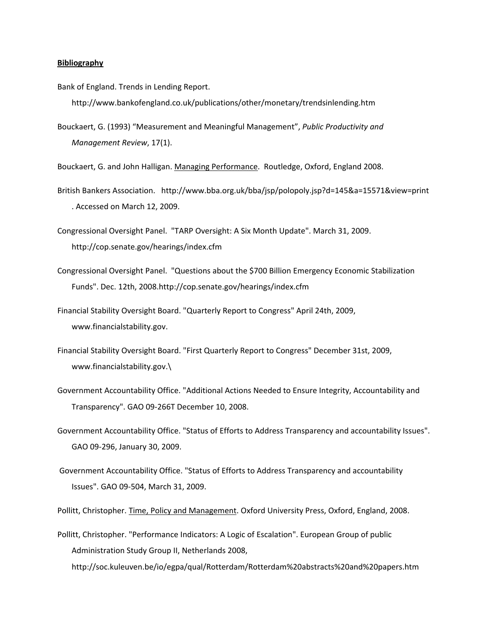# **Bibliography**

Bank of England. Trends in Lending Report.

http://www.bankofengland.co.uk/publications/other/monetary/trendsinlending.htm

Bouckaert, G. (1993) "Measurement and Meaningful Management", *Public Productivity and Management Review*, 17(1).

Bouckaert, G. and John Halligan. Managing Performance. Routledge, Oxford, England 2008.

- British Bankers Association. http://www.bba.org.uk/bba/jsp/polopoly.jsp?d=145&a=15571&view=print . Accessed on March 12, 2009.
- Congressional Oversight Panel. "TARP Oversight: A Six Month Update". March 31, 2009. http://cop.senate.gov/hearings/index.cfm
- Congressional Oversight Panel. "Questions about the \$700 Billion Emergency Economic Stabilization Funds". Dec. 12th, 2008.http://cop.senate.gov/hearings/index.cfm
- Financial Stability Oversight Board. "Quarterly Report to Congress" April 24th, 2009, www.financialstability.gov.
- Financial Stability Oversight Board. "First Quarterly Report to Congress" December 31st, 2009, www.financialstability.gov.\
- Government Accountability Office. "Additional Actions Needed to Ensure Integrity, Accountability and Transparency". GAO 09‐266T December 10, 2008.
- Government Accountability Office. "Status of Efforts to Address Transparency and accountability Issues". GAO 09‐296, January 30, 2009.
- Government Accountability Office. "Status of Efforts to Address Transparency and accountability Issues". GAO 09‐504, March 31, 2009.

Pollitt, Christopher. Time, Policy and Management. Oxford University Press, Oxford, England, 2008.

Pollitt, Christopher. "Performance Indicators: A Logic of Escalation". European Group of public Administration Study Group II, Netherlands 2008, http://soc.kuleuven.be/io/egpa/qual/Rotterdam/Rotterdam%20abstracts%20and%20papers.htm